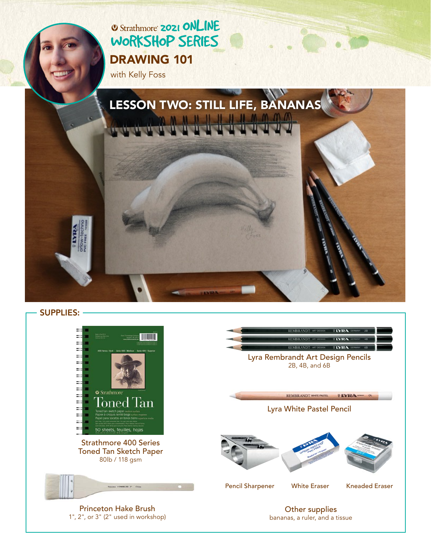# *© Strathmore* **2021 ONLINE** [WORKSHOP SERIES](https://www.strathmoreartiststudio.com/) [DRAWING 101](https://www.strathmoreartiststudio.com/groups/workshop-3-2021/forum/)

with Kelly Foss



SUPPLIES:



Strathmore 400 Series [Toned Tan Sketch Paper](https://www.strathmoreartist.com/draw-sketch/id-400-series-toned-sketch.html)  80lb / 118 gsm



Princeton Hake Brush [1", 2", or 3" \(2" used in workshop\)](https://www.princetonbrush.com/series-2900-princeton-brush-company-brush-2900/)

**IYE TIYRA** 

[Lyra Rembrandt Art Design Pencils](https://www.fila.it/de/en/product/lyra-rembrandt-art-design/) 2B, 4B, and 6B

REMBRANDT WHITE PASTEL # LYRA

[Lyra White Pastel Pencil](https://www.fila.it/de/en/product/lyra-rembrandt-white-pastel/)



[Pencil Sharpener](https://www.fila.it/de/en/product/lyra-metal-sharpener/) [White Eraser](https://www.fila.it/de/en/product/lyra-erasers/) [Kneaded Eraser](https://www.fila.it/de/en/product/lyra-kneadable-eraser/)

Other supplies bananas, a ruler, and a tissue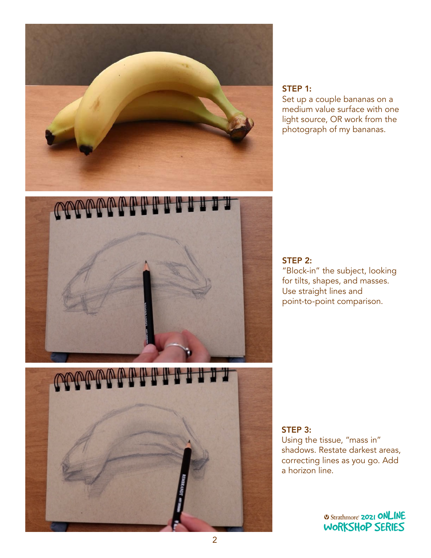

## STEP 1:

Set up a couple bananas on a medium value surface with one light source, OR work from the photograph of my bananas.



### STEP 2:

"Block-in" the subject, looking for tilts, shapes, and masses. Use straight lines and point-to-point comparison.



STEP 3: Using the tissue, "mass in" shadows. Restate darkest areas, correcting lines as you go. Add a horizon line. WORKSHOP SERIES

> **2021 ONLINE** [WORKSHOP SERIES](https://www.strathmoreartiststudio.com/)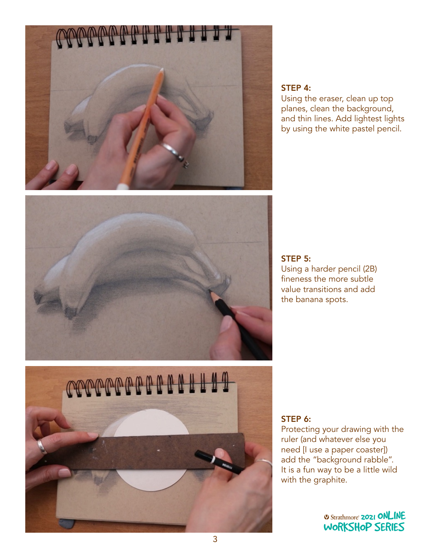

#### STEP 4:

Using the eraser, clean up top planes, clean the background, and thin lines. Add lightest lights by using the white pastel pencil.



## STEP 5: Using a harder pencil (2B) fineness the more subtle value transitions and add the banana spots.



## STEP 6:

Protecting your drawing with the ruler (and whatever else you need [I use a paper coaster]) add the "background rabble". add the background rabble :<br>It is a fun way to be a little wild with the graphite.

> *O Strathmore* **2021 ONLINE** [WORKSHOP SERIES](https://www.strathmoreartiststudio.com/)